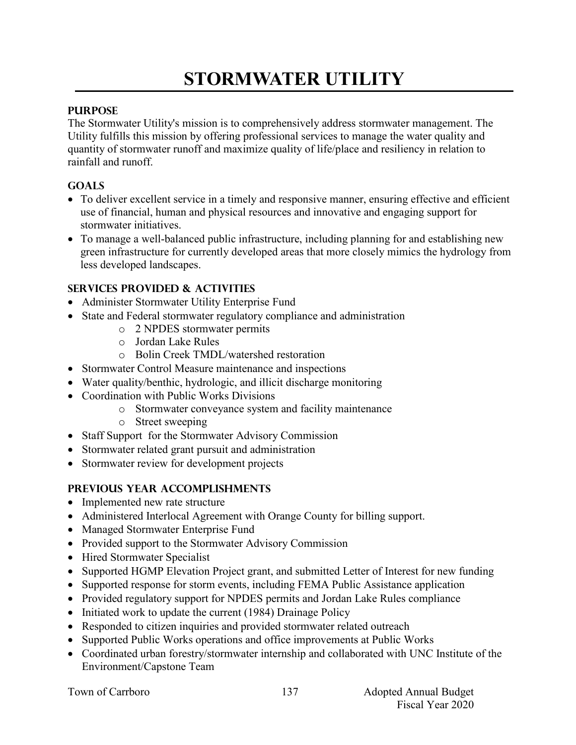# **STORMWATER UTILITY**

## **PURPOSE**

The Stormwater Utility's mission is to comprehensively address stormwater management. The Utility fulfills this mission by offering professional services to manage the water quality and quantity of stormwater runoff and maximize quality of life/place and resiliency in relation to rainfall and runoff.

## **GOALS**

- To deliver excellent service in a timely and responsive manner, ensuring effective and efficient use of financial, human and physical resources and innovative and engaging support for stormwater initiatives.
- To manage a well-balanced public infrastructure, including planning for and establishing new green infrastructure for currently developed areas that more closely mimics the hydrology from less developed landscapes.

# **SERVICES PROVIDED & ACTIVITIES**

- Administer Stormwater Utility Enterprise Fund
- State and Federal stormwater regulatory compliance and administration
	- o 2 NPDES stormwater permits
	- o Jordan Lake Rules
	- o Bolin Creek TMDL/watershed restoration
- Stormwater Control Measure maintenance and inspections
- Water quality/benthic, hydrologic, and illicit discharge monitoring
- Coordination with Public Works Divisions
	- o Stormwater conveyance system and facility maintenance
	- o Street sweeping
- Staff Support for the Stormwater Advisory Commission
- Stormwater related grant pursuit and administration
- Stormwater review for development projects

# **PREVIOUS YEAR ACCOMPLISHMENTS**

- Implemented new rate structure
- Administered Interlocal Agreement with Orange County for billing support.
- Managed Stormwater Enterprise Fund
- Provided support to the Stormwater Advisory Commission
- Hired Stormwater Specialist
- Supported HGMP Elevation Project grant, and submitted Letter of Interest for new funding
- Supported response for storm events, including FEMA Public Assistance application
- Provided regulatory support for NPDES permits and Jordan Lake Rules compliance
- $\bullet$  Initiated work to update the current (1984) Drainage Policy
- Responded to citizen inquiries and provided stormwater related outreach
- Supported Public Works operations and office improvements at Public Works
- Coordinated urban forestry/stormwater internship and collaborated with UNC Institute of the Environment/Capstone Team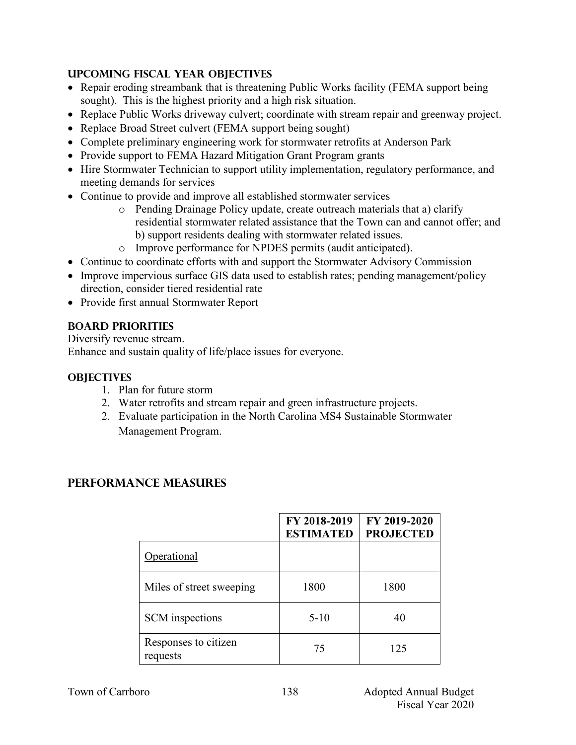# **UPCOMING FISCAL YEAR OBJECTIVES**

- Repair eroding streambank that is threatening Public Works facility (FEMA support being sought). This is the highest priority and a high risk situation.
- Replace Public Works driveway culvert; coordinate with stream repair and greenway project.
- Replace Broad Street culvert (FEMA support being sought)
- Complete preliminary engineering work for stormwater retrofits at Anderson Park
- Provide support to FEMA Hazard Mitigation Grant Program grants
- Hire Stormwater Technician to support utility implementation, regulatory performance, and meeting demands for services
- Continue to provide and improve all established stormwater services
	- o Pending Drainage Policy update, create outreach materials that a) clarify residential stormwater related assistance that the Town can and cannot offer; and b) support residents dealing with stormwater related issues.
	- o Improve performance for NPDES permits (audit anticipated).
- Continue to coordinate efforts with and support the Stormwater Advisory Commission
- Improve impervious surface GIS data used to establish rates; pending management/policy direction, consider tiered residential rate
- Provide first annual Stormwater Report

# **BOARD PRIORITIES**

Diversify revenue stream.

Enhance and sustain quality of life/place issues for everyone.

# **OBJECTIVES**

- 1. Plan for future storm
- 2. Water retrofits and stream repair and green infrastructure projects.
- 2. Evaluate participation in the North Carolina MS4 Sustainable Stormwater Management Program.

# **PERFORMANCE MEASURES**

|                                  | FY 2018-2019<br><b>ESTIMATED</b> | FY 2019-2020<br><b>PROJECTED</b> |
|----------------------------------|----------------------------------|----------------------------------|
| Operational                      |                                  |                                  |
| Miles of street sweeping         | 1800                             | 1800                             |
| <b>SCM</b> inspections           | $5 - 10$                         | 40                               |
| Responses to citizen<br>requests | 75                               | 125                              |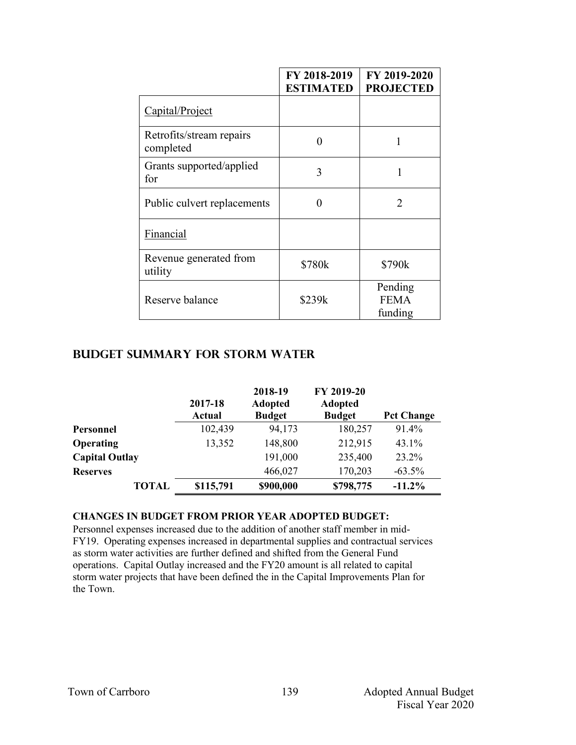|                                       | FY 2018-2019<br><b>ESTIMATED</b> | FY 2019-2020<br><b>PROJECTED</b>  |  |
|---------------------------------------|----------------------------------|-----------------------------------|--|
| Capital/Project                       |                                  |                                   |  |
| Retrofits/stream repairs<br>completed | 0                                | 1                                 |  |
| Grants supported/applied<br>for       | 3                                |                                   |  |
| Public culvert replacements           | 0                                | 2                                 |  |
| Financial                             |                                  |                                   |  |
| Revenue generated from<br>utility     | \$780k                           | \$790k                            |  |
| Reserve balance                       | \$239k                           | Pending<br><b>FEMA</b><br>funding |  |

#### **Budget summary for Storm Water**

|                       | 2017-18<br>Actual | 2018-19<br><b>Adopted</b><br><b>Budget</b> | FY 2019-20<br><b>Adopted</b><br><b>Budget</b> | <b>Pct Change</b> |
|-----------------------|-------------------|--------------------------------------------|-----------------------------------------------|-------------------|
| Personnel             | 102,439           | 94,173                                     | 180,257                                       | 91.4%             |
| Operating             | 13,352            | 148,800                                    | 212,915                                       | 43.1%             |
| <b>Capital Outlay</b> |                   | 191,000                                    | 235,400                                       | 23.2%             |
| <b>Reserves</b>       |                   | 466,027                                    | 170,203                                       | $-63.5\%$         |
| <b>TOTAL</b>          | \$115,791         | \$900,000                                  | \$798,775                                     | $-11.2%$          |

#### **CHANGES IN BUDGET FROM PRIOR YEAR ADOPTED BUDGET:**

Personnel expenses increased due to the addition of another staff member in mid-FY19. Operating expenses increased in departmental supplies and contractual services as storm water activities are further defined and shifted from the General Fund operations. Capital Outlay increased and the FY20 amount is all related to capital storm water projects that have been defined the in the Capital Improvements Plan for the Town.